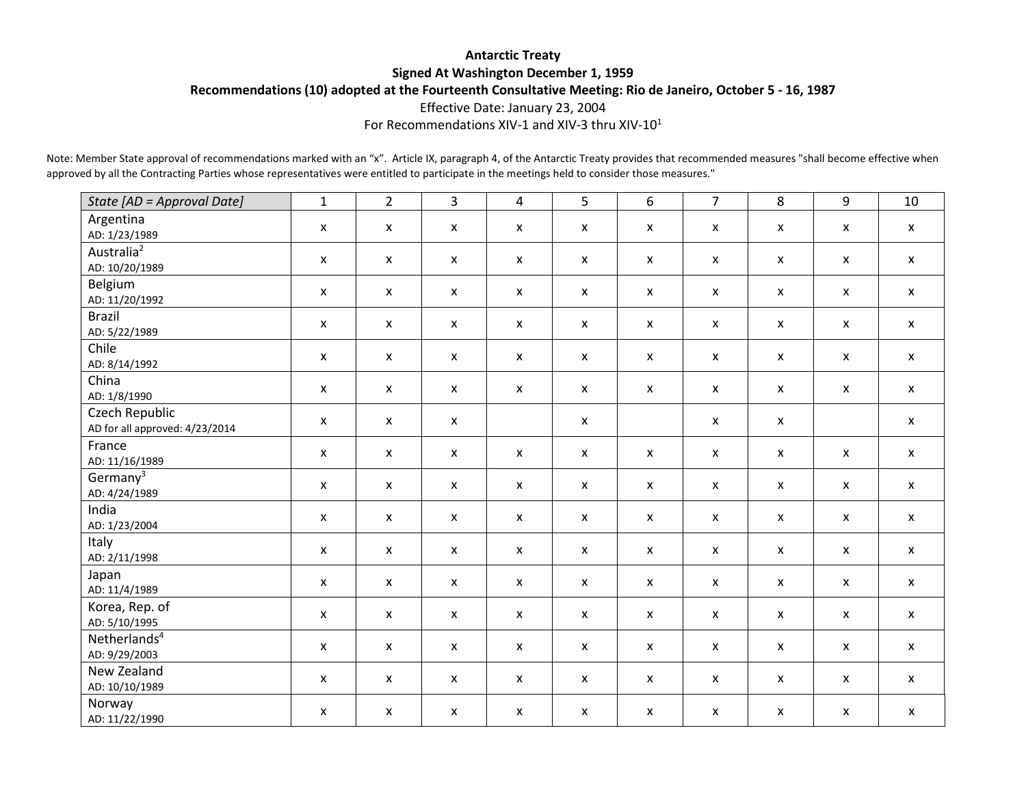## **Antarctic Treaty Signed At Washington December 1, 1959 Recommendations (10) adopted at the Fourteenth Consultative Meeting: Rio de Janeiro, October 5 - 16, 1987** Effective Date: January 23, 2004

For Recommendations XIV-1 and XIV-3 thru XIV-10<sup>1</sup>

Note: Member State approval of recommendations marked with an "x". Article IX, paragraph 4, of the Antarctic Treaty provides that recommended measures "shall become effective when approved by all the Contracting Parties whose representatives were entitled to participate in the meetings held to consider those measures."

| State [AD = Approval Date]                       | $\mathbf{1}$ | $\overline{2}$            | $\overline{3}$            | $\overline{4}$            | 5 <sup>1</sup>            | 6                         | $\overline{7}$            | 8            | 9                         | 10                        |
|--------------------------------------------------|--------------|---------------------------|---------------------------|---------------------------|---------------------------|---------------------------|---------------------------|--------------|---------------------------|---------------------------|
| Argentina<br>AD: 1/23/1989                       | $\mathsf{x}$ | $\boldsymbol{\mathsf{x}}$ | $\boldsymbol{\mathsf{x}}$ | $\pmb{\mathsf{X}}$        | $\pmb{\mathsf{X}}$        | $\pmb{\mathsf{X}}$        | $\mathsf{x}$              | $\mathsf{x}$ | $\pmb{\mathsf{X}}$        | $\mathsf X$               |
| Australia <sup>2</sup><br>AD: 10/20/1989         | $\mathsf{x}$ | $\mathsf{x}$              | $\mathsf{x}$              | $\pmb{\mathsf{X}}$        | $\pmb{\mathsf{X}}$        | $\mathsf{x}$              | $\mathsf{x}$              | $\mathsf{x}$ | $\mathsf{x}$              | $\mathsf{x}$              |
| Belgium<br>AD: 11/20/1992                        | $\mathsf{x}$ | $\mathsf{x}$              | $\boldsymbol{\mathsf{x}}$ | X                         | $\pmb{\mathsf{X}}$        | $\pmb{\mathsf{X}}$        | $\pmb{\mathsf{X}}$        | $\mathsf{x}$ | $\boldsymbol{\mathsf{x}}$ | $\mathsf{x}$              |
| Brazil<br>AD: 5/22/1989                          | $\mathsf{x}$ | $\mathsf{x}$              | $\mathsf{x}$              | $\mathsf{x}$              | $\mathsf{x}$              | $\mathsf{x}$              | $\mathsf{x}$              | $\mathsf{x}$ | $\mathsf{x}$              | $\mathsf{x}$              |
| Chile<br>AD: 8/14/1992                           | $\mathsf{x}$ | $\mathsf{x}$              | $\boldsymbol{\mathsf{x}}$ | $\boldsymbol{\mathsf{x}}$ | $\boldsymbol{\mathsf{X}}$ | $\mathsf{x}$              | $\mathsf{x}$              | $\mathsf{x}$ | $\mathsf{x}$              | $\mathsf{x}$              |
| China<br>AD: 1/8/1990                            | $\mathsf{x}$ | $\mathsf{x}$              | $\boldsymbol{\mathsf{x}}$ | $\pmb{\mathsf{X}}$        | $\pmb{\mathsf{X}}$        | $\mathsf{x}$              | $\mathsf{x}$              | $\mathsf{x}$ | $\mathsf{x}$              | $\mathsf X$               |
| Czech Republic<br>AD for all approved: 4/23/2014 | $\mathsf{x}$ | $\mathsf{x}$              | $\pmb{\mathsf{X}}$        |                           | $\boldsymbol{\mathsf{x}}$ |                           | $\boldsymbol{\mathsf{x}}$ | $\mathsf{x}$ |                           | $\mathsf{x}$              |
| France<br>AD: 11/16/1989                         | $\mathsf{x}$ | $\pmb{\mathsf{X}}$        | $\boldsymbol{\mathsf{x}}$ | $\pmb{\mathsf{X}}$        | $\pmb{\mathsf{X}}$        | $\pmb{\mathsf{X}}$        | $\mathsf{x}$              | $\mathsf{x}$ | $\mathsf{x}$              | $\mathsf{x}$              |
| Germany <sup>3</sup><br>AD: 4/24/1989            | $\mathsf{x}$ | $\mathsf{x}$              | $\boldsymbol{\mathsf{x}}$ | $\boldsymbol{\mathsf{x}}$ | $\pmb{\mathsf{X}}$        | $\pmb{\mathsf{x}}$        | $\mathsf{x}$              | $\mathsf{x}$ | $\mathsf{x}$              | $\mathsf{x}$              |
| India<br>AD: 1/23/2004                           | $\mathsf{x}$ | $\mathsf{x}$              | $\mathsf{x}$              | $\pmb{\mathsf{X}}$        | $\boldsymbol{\mathsf{X}}$ | $\boldsymbol{\mathsf{x}}$ | $\mathsf{x}$              | $\mathsf{x}$ | $\mathsf{x}$              | $\mathsf X$               |
| Italy<br>AD: 2/11/1998                           | $\mathsf{x}$ | $\mathsf{x}$              | $\mathsf{x}$              | $\mathsf{x}$              | $\boldsymbol{\mathsf{X}}$ | $\boldsymbol{\mathsf{x}}$ | $\mathsf{x}$              | $\mathsf{x}$ | $\mathsf{x}$              | $\mathsf{x}$              |
| Japan<br>AD: 11/4/1989                           | $\mathsf{x}$ | $\mathsf{x}$              | $\boldsymbol{\mathsf{x}}$ | X                         | $\mathsf{x}$              | X                         | $\mathsf{x}$              | $\mathsf{x}$ | $\mathsf{x}$              | $\mathsf{x}$              |
| Korea, Rep. of<br>AD: 5/10/1995                  | $\mathsf{x}$ | $\mathsf{x}$              | $\boldsymbol{\mathsf{x}}$ | $\boldsymbol{\mathsf{x}}$ | $\pmb{\mathsf{X}}$        | $\pmb{\mathsf{X}}$        | $\mathsf{x}$              | $\mathsf{x}$ | $\pmb{\mathsf{X}}$        | $\mathsf{x}$              |
| Netherlands <sup>4</sup><br>AD: 9/29/2003        | $\mathsf{x}$ | $\boldsymbol{\mathsf{x}}$ | $\boldsymbol{\mathsf{x}}$ | $\mathsf{x}$              | $\pmb{\mathsf{X}}$        | $\pmb{\mathsf{X}}$        | $\boldsymbol{\mathsf{x}}$ | $\mathsf{x}$ | $\pmb{\mathsf{X}}$        | $\mathsf{x}$              |
| New Zealand<br>AD: 10/10/1989                    | $\mathsf{x}$ | $\boldsymbol{\mathsf{x}}$ | $\boldsymbol{\mathsf{x}}$ | $\boldsymbol{\mathsf{x}}$ | $\pmb{\mathsf{X}}$        | $\boldsymbol{\mathsf{x}}$ | $\boldsymbol{\mathsf{x}}$ | $\mathsf{x}$ | $\pmb{\mathsf{X}}$        | $\mathsf{x}$              |
| Norway<br>AD: 11/22/1990                         | $\mathsf{x}$ | $\boldsymbol{\mathsf{x}}$ | $\boldsymbol{\mathsf{x}}$ | X                         | $\mathsf{x}$              | X                         | $\mathsf{x}$              | $\mathsf{x}$ | $\boldsymbol{\mathsf{x}}$ | $\boldsymbol{\mathsf{x}}$ |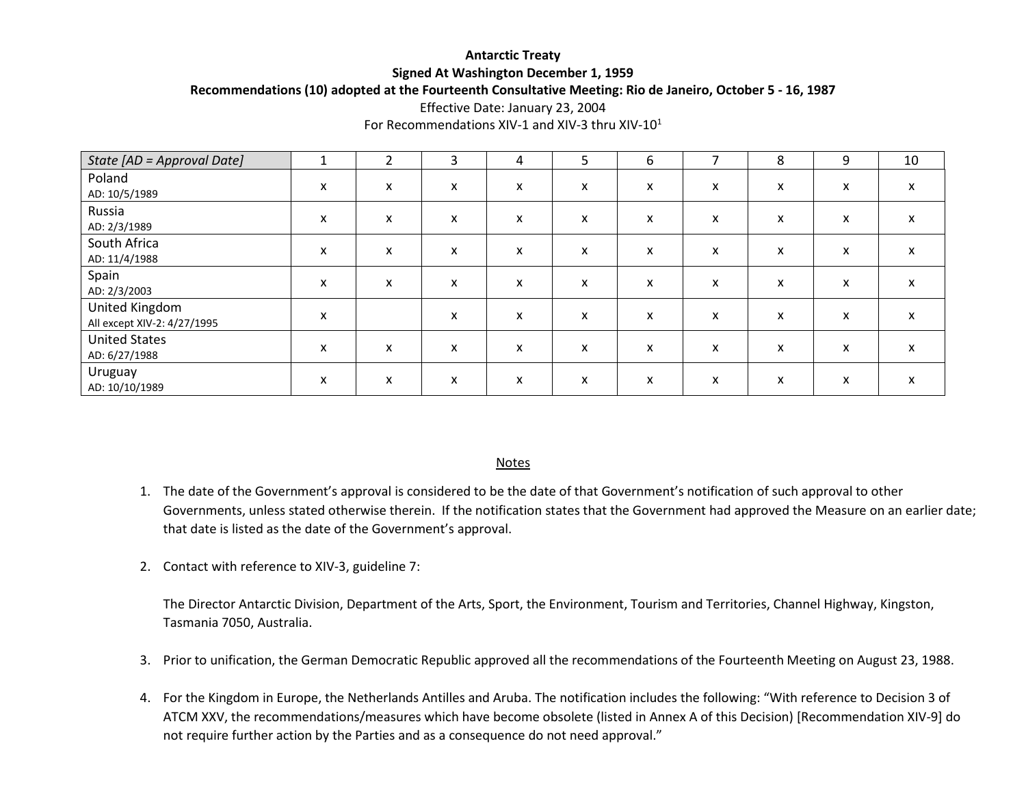## **Antarctic Treaty Signed At Washington December 1, 1959**

**Recommendations (10) adopted at the Fourteenth Consultative Meeting: Rio de Janeiro, October 5 - 16, 1987**

Effective Date: January 23, 2004

For Recommendations XIV-1 and XIV-3 thru XIV- $10^1$ 

| State [AD = Approval Date]                    | $\overline{\phantom{a}}$ | $\overline{2}$ | 3 | 4 | 5 | 6 | $\overline{ }$ | 8 | 9 | 10 |
|-----------------------------------------------|--------------------------|----------------|---|---|---|---|----------------|---|---|----|
| Poland<br>AD: 10/5/1989                       | X                        | X              | X | X | X | X | X              | X | X | X  |
| Russia<br>AD: 2/3/1989                        | X                        | X              | X | X | X | X | X              | X | X | X  |
| South Africa<br>AD: 11/4/1988                 | X                        | X              | X | X | X | X | X              | X | x | X  |
| Spain<br>AD: 2/3/2003                         | X                        | X              | X | X | X | X | X              | X | X | X  |
| United Kingdom<br>All except XIV-2: 4/27/1995 | X                        |                | X | X | X | X | X              | X | x | X  |
| <b>United States</b><br>AD: 6/27/1988         | X                        | X              | X | x | X | X | X              | X | x | X  |
| Uruguay<br>AD: 10/10/1989                     | X                        | X              | X | X | X | X | X              | X | X | X  |

## Notes

- 1. The date of the Government's approval is considered to be the date of that Government's notification of such approval to other Governments, unless stated otherwise therein. If the notification states that the Government had approved the Measure on an earlier date; that date is listed as the date of the Government's approval.
- 2. Contact with reference to XIV-3, guideline 7:

The Director Antarctic Division, Department of the Arts, Sport, the Environment, Tourism and Territories, Channel Highway, Kingston, Tasmania 7050, Australia.

- 3. Prior to unification, the German Democratic Republic approved all the recommendations of the Fourteenth Meeting on August 23, 1988.
- 4. For the Kingdom in Europe, the Netherlands Antilles and Aruba. The notification includes the following: "With reference to Decision 3 of ATCM XXV, the recommendations/measures which have become obsolete (listed in Annex A of this Decision) [Recommendation XIV-9] do not require further action by the Parties and as a consequence do not need approval."